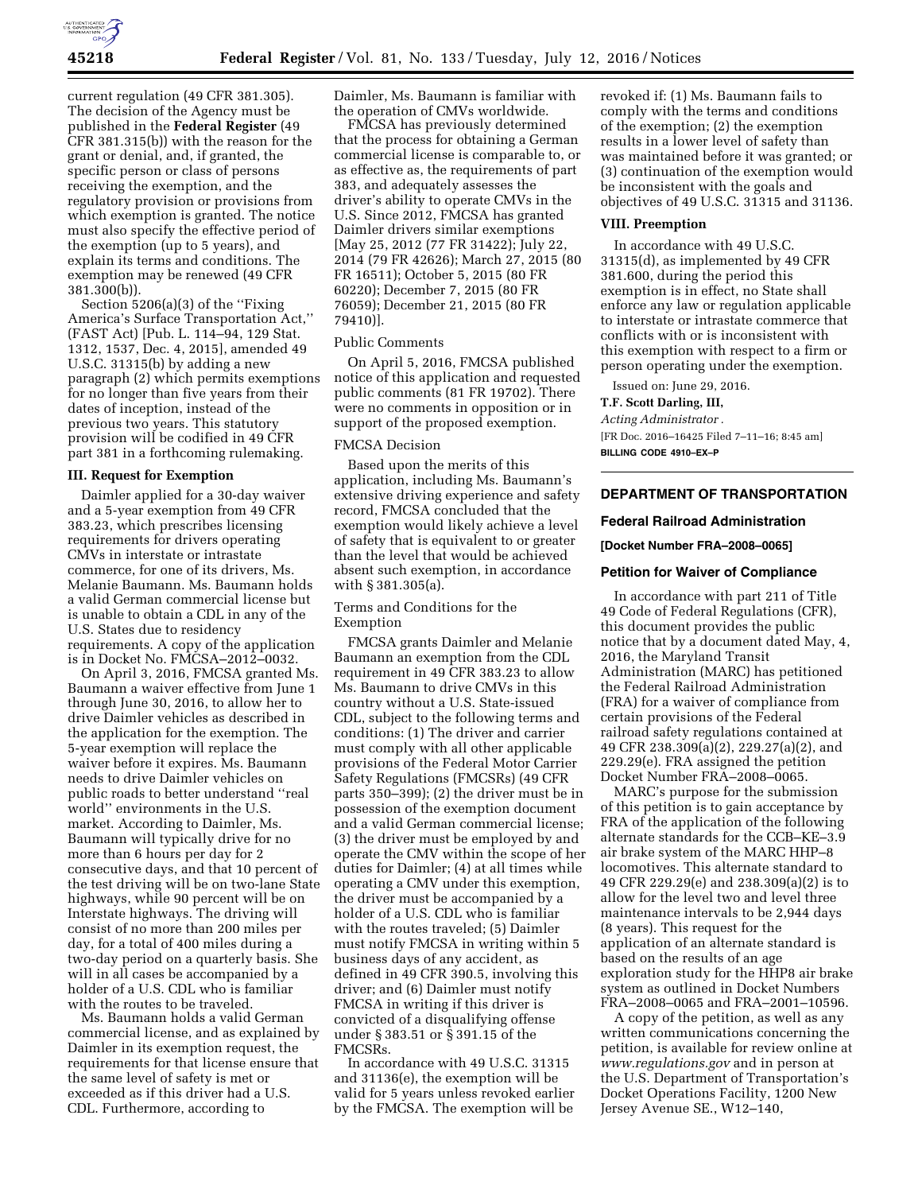

current regulation (49 CFR 381.305). The decision of the Agency must be published in the **Federal Register** (49 CFR 381.315(b)) with the reason for the grant or denial, and, if granted, the specific person or class of persons receiving the exemption, and the regulatory provision or provisions from which exemption is granted. The notice must also specify the effective period of the exemption (up to 5 years), and explain its terms and conditions. The exemption may be renewed (49 CFR 381.300(b)).

Section 5206(a)(3) of the ''Fixing America's Surface Transportation Act,'' (FAST Act) [Pub. L. 114–94, 129 Stat. 1312, 1537, Dec. 4, 2015], amended 49 U.S.C. 31315(b) by adding a new paragraph (2) which permits exemptions for no longer than five years from their dates of inception, instead of the previous two years. This statutory provision will be codified in 49 CFR part 381 in a forthcoming rulemaking.

#### **III. Request for Exemption**

Daimler applied for a 30-day waiver and a 5-year exemption from 49 CFR 383.23, which prescribes licensing requirements for drivers operating CMVs in interstate or intrastate commerce, for one of its drivers, Ms. Melanie Baumann. Ms. Baumann holds a valid German commercial license but is unable to obtain a CDL in any of the U.S. States due to residency requirements. A copy of the application is in Docket No. FMCSA–2012–0032.

On April 3, 2016, FMCSA granted Ms. Baumann a waiver effective from June 1 through June 30, 2016, to allow her to drive Daimler vehicles as described in the application for the exemption. The 5-year exemption will replace the waiver before it expires. Ms. Baumann needs to drive Daimler vehicles on public roads to better understand ''real world'' environments in the U.S. market. According to Daimler, Ms. Baumann will typically drive for no more than 6 hours per day for 2 consecutive days, and that 10 percent of the test driving will be on two-lane State highways, while 90 percent will be on Interstate highways. The driving will consist of no more than 200 miles per day, for a total of 400 miles during a two-day period on a quarterly basis. She will in all cases be accompanied by a holder of a U.S. CDL who is familiar with the routes to be traveled.

Ms. Baumann holds a valid German commercial license, and as explained by Daimler in its exemption request, the requirements for that license ensure that the same level of safety is met or exceeded as if this driver had a U.S. CDL. Furthermore, according to

Daimler, Ms. Baumann is familiar with the operation of CMVs worldwide.

FMCSA has previously determined that the process for obtaining a German commercial license is comparable to, or as effective as, the requirements of part 383, and adequately assesses the driver's ability to operate CMVs in the U.S. Since 2012, FMCSA has granted Daimler drivers similar exemptions [May 25, 2012 (77 FR 31422); July 22, 2014 (79 FR 42626); March 27, 2015 (80 FR 16511); October 5, 2015 (80 FR 60220); December 7, 2015 (80 FR 76059); December 21, 2015 (80 FR 79410)].

#### Public Comments

On April 5, 2016, FMCSA published notice of this application and requested public comments (81 FR 19702). There were no comments in opposition or in support of the proposed exemption.

# FMCSA Decision

Based upon the merits of this application, including Ms. Baumann's extensive driving experience and safety record, FMCSA concluded that the exemption would likely achieve a level of safety that is equivalent to or greater than the level that would be achieved absent such exemption, in accordance with § 381.305(a).

## Terms and Conditions for the Exemption

FMCSA grants Daimler and Melanie Baumann an exemption from the CDL requirement in 49 CFR 383.23 to allow Ms. Baumann to drive CMVs in this country without a U.S. State-issued CDL, subject to the following terms and conditions: (1) The driver and carrier must comply with all other applicable provisions of the Federal Motor Carrier Safety Regulations (FMCSRs) (49 CFR parts 350–399); (2) the driver must be in possession of the exemption document and a valid German commercial license; (3) the driver must be employed by and operate the CMV within the scope of her duties for Daimler; (4) at all times while operating a CMV under this exemption, the driver must be accompanied by a holder of a U.S. CDL who is familiar with the routes traveled; (5) Daimler must notify FMCSA in writing within 5 business days of any accident, as defined in 49 CFR 390.5, involving this driver; and (6) Daimler must notify FMCSA in writing if this driver is convicted of a disqualifying offense under § 383.51 or § 391.15 of the FMCSRs.

In accordance with 49 U.S.C. 31315 and 31136(e), the exemption will be valid for 5 years unless revoked earlier by the FMCSA. The exemption will be

revoked if: (1) Ms. Baumann fails to comply with the terms and conditions of the exemption; (2) the exemption results in a lower level of safety than was maintained before it was granted; or (3) continuation of the exemption would be inconsistent with the goals and objectives of 49 U.S.C. 31315 and 31136.

#### **VIII. Preemption**

In accordance with 49 U.S.C. 31315(d), as implemented by 49 CFR 381.600, during the period this exemption is in effect, no State shall enforce any law or regulation applicable to interstate or intrastate commerce that conflicts with or is inconsistent with this exemption with respect to a firm or person operating under the exemption.

Issued on: June 29, 2016.

# **T.F. Scott Darling, III,**

*Acting Administrator .*  [FR Doc. 2016–16425 Filed 7–11–16; 8:45 am] **BILLING CODE 4910–EX–P** 

## **DEPARTMENT OF TRANSPORTATION**

### **Federal Railroad Administration**

**[Docket Number FRA–2008–0065]** 

#### **Petition for Waiver of Compliance**

In accordance with part 211 of Title 49 Code of Federal Regulations (CFR), this document provides the public notice that by a document dated May, 4, 2016, the Maryland Transit Administration (MARC) has petitioned the Federal Railroad Administration (FRA) for a waiver of compliance from certain provisions of the Federal railroad safety regulations contained at 49 CFR 238.309(a)(2), 229.27(a)(2), and 229.29(e). FRA assigned the petition Docket Number FRA–2008–0065.

MARC's purpose for the submission of this petition is to gain acceptance by FRA of the application of the following alternate standards for the CCB–KE–3.9 air brake system of the MARC HHP–8 locomotives. This alternate standard to 49 CFR 229.29(e) and 238.309(a)(2) is to allow for the level two and level three maintenance intervals to be 2,944 days (8 years). This request for the application of an alternate standard is based on the results of an age exploration study for the HHP8 air brake system as outlined in Docket Numbers FRA–2008–0065 and FRA–2001–10596.

A copy of the petition, as well as any written communications concerning the petition, is available for review online at *[www.regulations.gov](http://www.regulations.gov)* and in person at the U.S. Department of Transportation's Docket Operations Facility, 1200 New Jersey Avenue SE., W12–140,